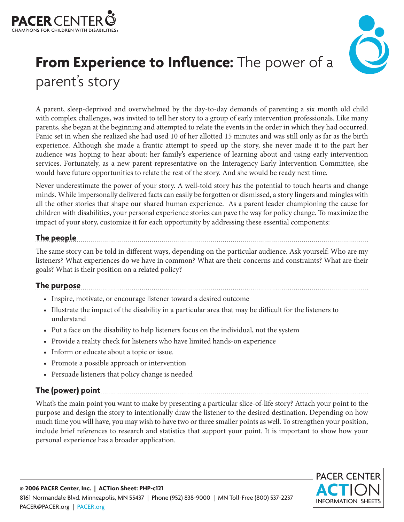



# **From Experience to Influence:** The power of a parent's story

A parent, sleep-deprived and overwhelmed by the day-to-day demands of parenting a six month old child with complex challenges, was invited to tell her story to a group of early intervention professionals. Like many parents, she began at the beginning and attempted to relate the events in the order in which they had occurred. Panic set in when she realized she had used 10 of her allotted 15 minutes and was still only as far as the birth experience. Although she made a frantic attempt to speed up the story, she never made it to the part her audience was hoping to hear about: her family's experience of learning about and using early intervention services. Fortunately, as a new parent representative on the Interagency Early Intervention Committee, she would have future opportunities to relate the rest of the story. And she would be ready next time.

Never underestimate the power of your story. A well-told story has the potential to touch hearts and change minds. While impersonally delivered facts can easily be forgotten or dismissed, a story lingers and mingles with all the other stories that shape our shared human experience. As a parent leader championing the cause for children with disabilities, your personal experience stories can pave the way for policy change. To maximize the impact of your story, customize it for each opportunity by addressing these essential components:

#### **The people**

The same story can be told in different ways, depending on the particular audience. Ask yourself: Who are my listeners? What experiences do we have in common? What are their concerns and constraints? What are their goals? What is their position on a related policy?

## **The purpose**

- Inspire, motivate, or encourage listener toward a desired outcome
- Illustrate the impact of the disability in a particular area that may be difficult for the listeners to understand
- Put a face on the disability to help listeners focus on the individual, not the system
- Provide a reality check for listeners who have limited hands-on experience
- Inform or educate about a topic or issue.
- Promote a possible approach or intervention
- Persuade listeners that policy change is needed

### **The (power) point**

What's the main point you want to make by presenting a particular slice-of-life story? Attach your point to the purpose and design the story to intentionally draw the listener to the desired destination. Depending on how much time you will have, you may wish to have two or three smaller points as well. To strengthen your position, include brief references to research and statistics that support your point. It is important to show how your personal experience has a broader application.